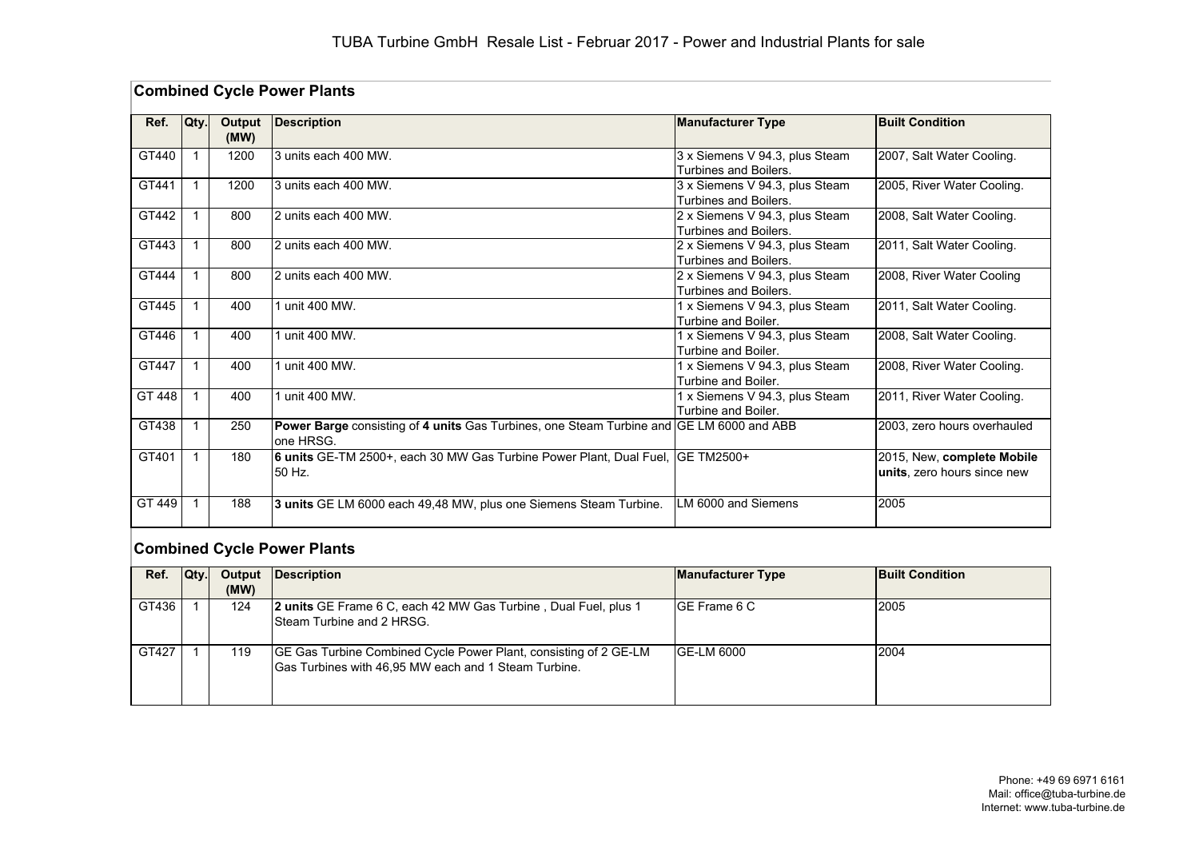|        | <b>Combined Cycle Power Plants</b> |                |                                                                                                        |                                                                |                                                           |  |  |
|--------|------------------------------------|----------------|--------------------------------------------------------------------------------------------------------|----------------------------------------------------------------|-----------------------------------------------------------|--|--|
| Ref.   | Qty.                               | Output<br>(MW) | <b>Description</b>                                                                                     | <b>Manufacturer Type</b>                                       | <b>Built Condition</b>                                    |  |  |
| GT440  | $\mathbf 1$                        | 1200           | 3 units each 400 MW.                                                                                   | 3 x Siemens V 94.3, plus Steam<br><b>Turbines and Boilers.</b> | 2007, Salt Water Cooling.                                 |  |  |
| GT441  | $\mathbf 1$                        | 1200           | 3 units each 400 MW.                                                                                   | 3 x Siemens V 94.3, plus Steam<br>Turbines and Boilers.        | 2005, River Water Cooling.                                |  |  |
| GT442  | $\mathbf 1$                        | 800            | 2 units each 400 MW.                                                                                   | 2 x Siemens V 94.3, plus Steam<br>Turbines and Boilers.        | 2008, Salt Water Cooling.                                 |  |  |
| GT443  | 1                                  | 800            | 2 units each 400 MW.                                                                                   | 2 x Siemens V 94.3, plus Steam<br>Turbines and Boilers.        | 2011, Salt Water Cooling.                                 |  |  |
| GT444  | 1                                  | 800            | 2 units each 400 MW.                                                                                   | 2 x Siemens V 94.3, plus Steam<br>Turbines and Boilers.        | 2008, River Water Cooling                                 |  |  |
| GT445  | 1                                  | 400            | 1 unit 400 MW.                                                                                         | 1 x Siemens V 94.3, plus Steam<br>Turbine and Boiler.          | 2011, Salt Water Cooling.                                 |  |  |
| GT446  | 1                                  | 400            | 1 unit 400 MW.                                                                                         | 1 x Siemens V 94.3, plus Steam<br>Turbine and Boiler.          | 2008, Salt Water Cooling.                                 |  |  |
| GT447  | 1                                  | 400            | unit 400 MW.                                                                                           | 1 x Siemens V 94.3, plus Steam<br>Turbine and Boiler.          | 2008, River Water Cooling.                                |  |  |
| GT 448 | $\mathbf{1}$                       | 400            | unit 400 MW.                                                                                           | 1 x Siemens V 94.3, plus Steam<br>Turbine and Boiler.          | 2011, River Water Cooling.                                |  |  |
| GT438  | 1                                  | 250            | Power Barge consisting of 4 units Gas Turbines, one Steam Turbine and GE LM 6000 and ABB<br>lone HRSG. |                                                                | 2003, zero hours overhauled                               |  |  |
| GT401  |                                    | 180            | 6 units GE-TM 2500+, each 30 MW Gas Turbine Power Plant, Dual Fuel,<br>50 Hz.                          | <b>GE TM2500+</b>                                              | 2015, New, complete Mobile<br>units, zero hours since new |  |  |
| GT 449 | $\mathbf{1}$                       | 188            | 3 units GE LM 6000 each 49,48 MW, plus one Siemens Steam Turbine.                                      | LM 6000 and Siemens                                            | 2005                                                      |  |  |

# **Combined Cycle Power Plants**

| Ref.  | Qty. |      | <b>Output Description</b>                                                                                                | <b>Manufacturer Type</b> | <b>Built Condition</b> |
|-------|------|------|--------------------------------------------------------------------------------------------------------------------------|--------------------------|------------------------|
|       |      | (MW) |                                                                                                                          |                          |                        |
| GT436 |      | 124  | 2 units GE Frame 6 C, each 42 MW Gas Turbine, Dual Fuel, plus 1<br><b>ISteam Turbine and 2 HRSG.</b>                     | IGE Frame 6 C            | 2005                   |
| GT427 |      | 119  | GE Gas Turbine Combined Cycle Power Plant, consisting of 2 GE-LM<br>Gas Turbines with 46,95 MW each and 1 Steam Turbine. | GE-LM 6000               | 2004                   |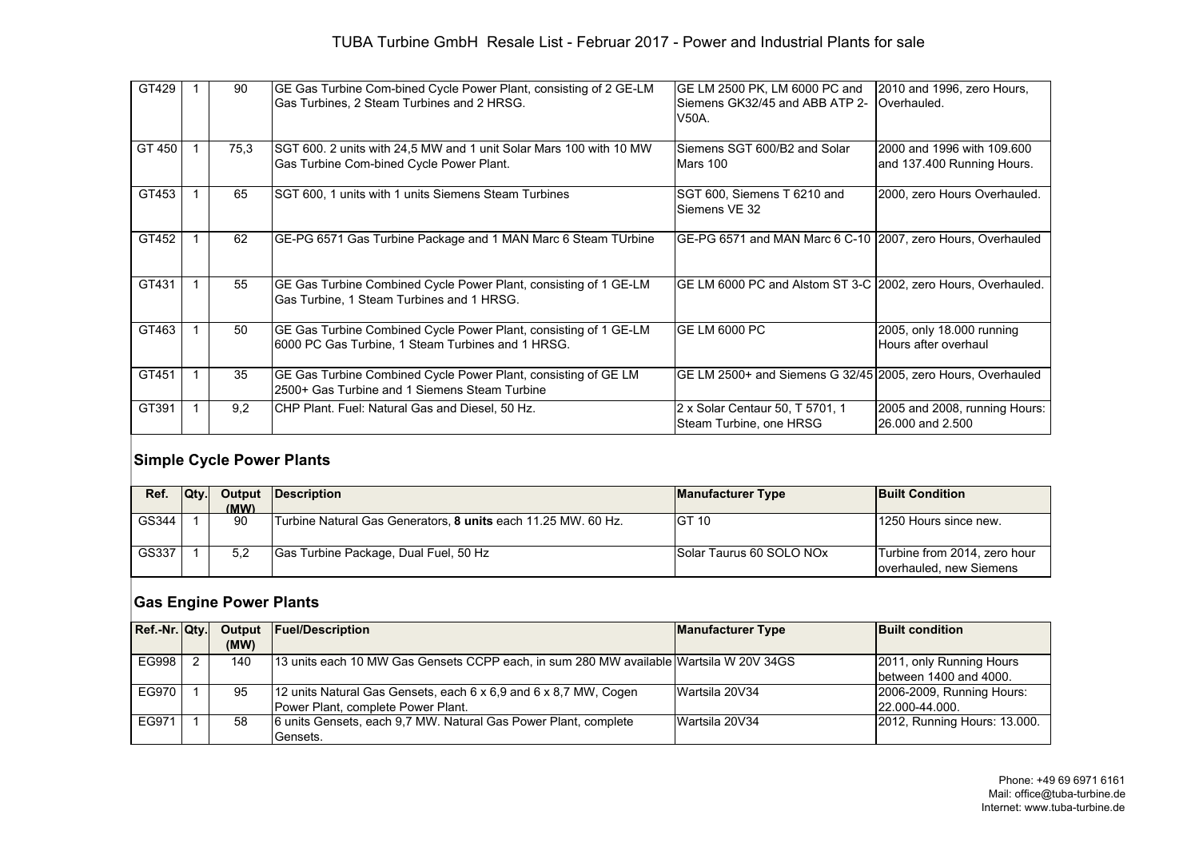#### TUBA Turbine GmbH Resale List - Februar 2017 - Power and Industrial Plants for sale

| GT429  | 90   | GE Gas Turbine Com-bined Cycle Power Plant, consisting of 2 GE-LM<br>Gas Turbines, 2 Steam Turbines and 2 HRSG.       | GE LM 2500 PK, LM 6000 PC and<br>Siemens GK32/45 and ABB ATP 2-<br>V50A. | 2010 and 1996, zero Hours,<br>Overhauled.                |
|--------|------|-----------------------------------------------------------------------------------------------------------------------|--------------------------------------------------------------------------|----------------------------------------------------------|
|        |      |                                                                                                                       |                                                                          |                                                          |
| GT 450 | 75,3 | SGT 600. 2 units with 24.5 MW and 1 unit Solar Mars 100 with 10 MW<br>Gas Turbine Com-bined Cycle Power Plant.        | Siemens SGT 600/B2 and Solar<br>Mars 100                                 | 2000 and 1996 with 109,600<br>and 137.400 Running Hours. |
| GT453  | 65   | SGT 600. 1 units with 1 units Siemens Steam Turbines                                                                  | SGT 600, Siemens T 6210 and<br>Siemens VE 32                             | 2000, zero Hours Overhauled.                             |
| GT452  | 62   | GE-PG 6571 Gas Turbine Package and 1 MAN Marc 6 Steam TUrbine                                                         | GE-PG 6571 and MAN Marc 6 C-10 2007, zero Hours, Overhauled              |                                                          |
| GT431  | 55   | GE Gas Turbine Combined Cycle Power Plant, consisting of 1 GE-LM<br>Gas Turbine, 1 Steam Turbines and 1 HRSG.         | GE LM 6000 PC and Alstom ST 3-C 2002, zero Hours, Overhauled.            |                                                          |
| GT463  | 50   | GE Gas Turbine Combined Cycle Power Plant, consisting of 1 GE-LM<br>6000 PC Gas Turbine, 1 Steam Turbines and 1 HRSG. | <b>IGE LM 6000 PC</b>                                                    | 2005, only 18.000 running<br>Hours after overhaul        |
| GT451  | 35   | GE Gas Turbine Combined Cycle Power Plant, consisting of GE LM<br>2500+ Gas Turbine and 1 Siemens Steam Turbine       | GE LM 2500+ and Siemens G 32/45 2005, zero Hours, Overhauled             |                                                          |
| GT391  | 9.2  | CHP Plant. Fuel: Natural Gas and Diesel, 50 Hz.                                                                       | 2 x Solar Centaur 50, T 5701, 1<br>Steam Turbine, one HRSG               | 2005 and 2008, running Hours:<br>26,000 and 2,500        |

## **Simple Cycle Power Plants**

| Ref.  | IOtv I | (MW) | Output Description                                            | <b>Manufacturer Type</b> | <b>Built Condition</b>                                  |
|-------|--------|------|---------------------------------------------------------------|--------------------------|---------------------------------------------------------|
| GS344 |        | 90   | Turbine Natural Gas Generators, 8 units each 11.25 MW. 60 Hz. | <b>IGT 10</b>            | 1250 Hours since new.                                   |
| GS337 |        | 5.2  | Gas Turbine Package, Dual Fuel, 50 Hz                         | Solar Taurus 60 SOLO NOx | Turbine from 2014, zero hour<br>overhauled, new Siemens |

# **Gas Engine Power Plants**

| Ref.-Nr. Qty. |      | Output Fuel/Description                                                                | <b>Manufacturer Type</b> | <b>Built condition</b>       |
|---------------|------|----------------------------------------------------------------------------------------|--------------------------|------------------------------|
|               | (MW) |                                                                                        |                          |                              |
| EG998         | 140  | 13 units each 10 MW Gas Gensets CCPP each, in sum 280 MW available Wartsila W 20V 34GS |                          | 2011, only Running Hours     |
|               |      |                                                                                        |                          | between 1400 and 4000.       |
| EG970         | 95   | 12 units Natural Gas Gensets, each 6 x 6,9 and 6 x 8,7 MW, Cogen                       | Wartsila 20V34           | 2006-2009, Running Hours:    |
|               |      | Power Plant, complete Power Plant.                                                     |                          | $22.000 - 44.000$ .          |
| EG971         | 58   | 6 units Gensets, each 9.7 MW. Natural Gas Power Plant, complete                        | Wartsila 20V34           | 2012, Running Hours: 13.000. |
|               |      | Gensets.                                                                               |                          |                              |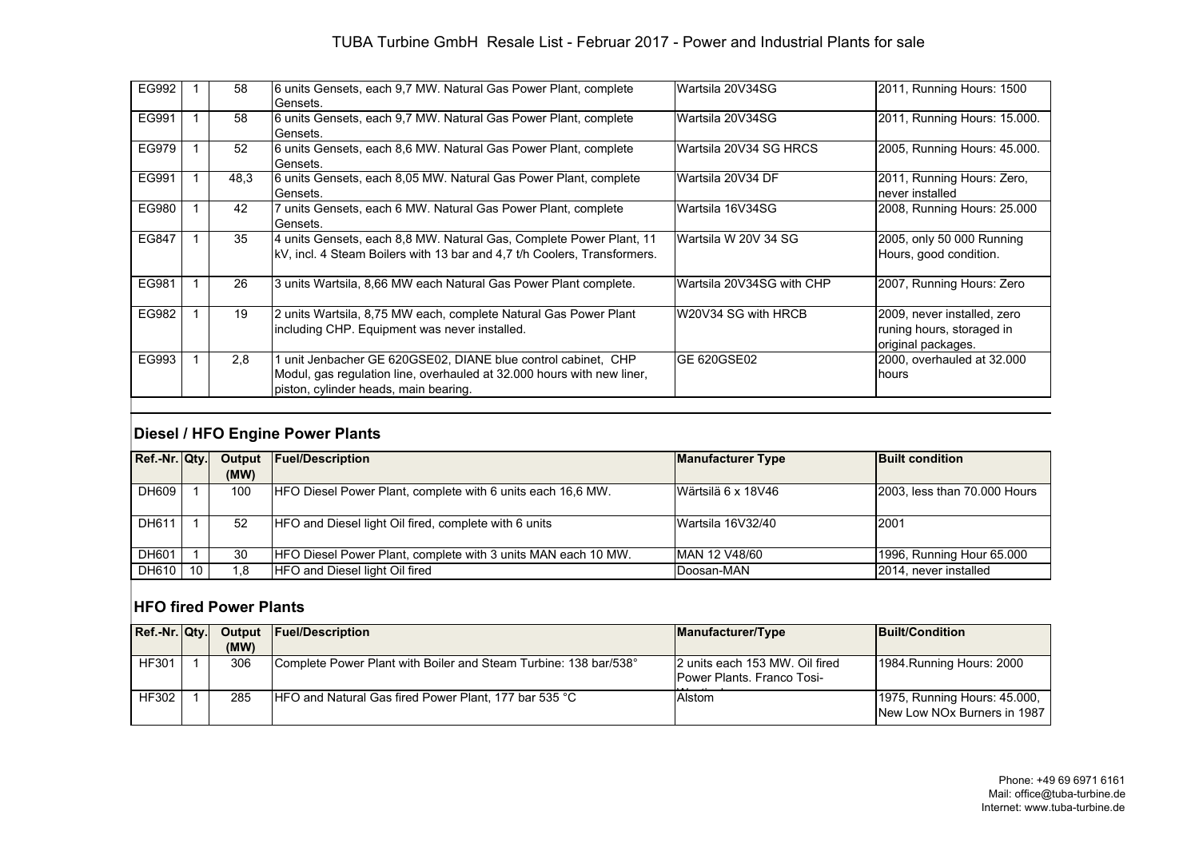#### TUBA Turbine GmbH Resale List - Februar 2017 - Power and Industrial Plants for sale

| EG992 | 58   | 6 units Gensets, each 9.7 MW. Natural Gas Power Plant, complete<br>Gensets.                                                                                                      | lWartsila 20V34SG         | 2011, Running Hours: 1500                                                      |
|-------|------|----------------------------------------------------------------------------------------------------------------------------------------------------------------------------------|---------------------------|--------------------------------------------------------------------------------|
| EG991 | 58   | 6 units Gensets, each 9.7 MW. Natural Gas Power Plant, complete<br>Gensets.                                                                                                      | Wartsila 20V34SG          | 2011, Running Hours: 15.000.                                                   |
| EG979 | 52   | 6 units Gensets, each 8.6 MW. Natural Gas Power Plant, complete<br>Gensets.                                                                                                      | Wartsila 20V34 SG HRCS    | 2005, Running Hours: 45.000.                                                   |
| EG991 | 48.3 | 6 units Gensets, each 8,05 MW. Natural Gas Power Plant, complete<br>Gensets.                                                                                                     | Wartsila 20V34 DF         | 2011, Running Hours: Zero,<br>never installed                                  |
| EG980 | 42   | 7 units Gensets, each 6 MW. Natural Gas Power Plant, complete<br>Gensets.                                                                                                        | Wartsila 16V34SG          | 2008, Running Hours: 25.000                                                    |
| EG847 | 35   | 4 units Gensets, each 8,8 MW. Natural Gas, Complete Power Plant, 11<br>kV, incl. 4 Steam Boilers with 13 bar and 4.7 t/h Coolers, Transformers.                                  | Wartsila W 20V 34 SG      | 2005, only 50 000 Running<br>Hours, good condition.                            |
| EG981 | 26   | 3 units Wartsila, 8,66 MW each Natural Gas Power Plant complete.                                                                                                                 | Wartsila 20V34SG with CHP | 2007, Running Hours: Zero                                                      |
| EG982 | 19   | 2 units Wartsila, 8,75 MW each, complete Natural Gas Power Plant<br>including CHP. Equipment was never installed.                                                                | W20V34 SG with HRCB       | 2009, never installed, zero<br>runing hours, storaged in<br>original packages. |
| EG993 | 2.8  | 1 unit Jenbacher GE 620GSE02, DIANE blue control cabinet, CHP<br>Modul, gas regulation line, overhauled at 32.000 hours with new liner,<br>piston, cylinder heads, main bearing. | IGE 620GSE02              | 2000, overhauled at 32.000<br>hours                                            |

#### **Diesel / HFO Engine Power Plants**

| Ref.-Nr. Qty. |     |      | Output Fuel/Description                                       | <b>Manufacturer Type</b> | <b>Built condition</b>       |
|---------------|-----|------|---------------------------------------------------------------|--------------------------|------------------------------|
|               |     | (MW) |                                                               |                          |                              |
| DH609         |     | 100  | HFO Diesel Power Plant, complete with 6 units each 16,6 MW.   | Wärtsilä 6 x 18V46       | 2003, less than 70.000 Hours |
|               |     |      |                                                               |                          |                              |
| DH611         |     | 52   | HFO and Diesel light Oil fired, complete with 6 units         | Wartsila 16V32/40        | 2001                         |
|               |     |      |                                                               |                          |                              |
| DH601         |     | 30   | HFO Diesel Power Plant, complete with 3 units MAN each 10 MW. | MAN 12 V48/60            | 1996, Running Hour 65.000    |
| DH610         | -10 | 1.8  | <b>HFO and Diesel light Oil fired</b>                         | Doosan-MAN               | 2014. never installed        |

#### **HFO fired Power Plants**

| $Ref.-Nr.  Qtv. $ |  |      | <b>Output Fuel/Description</b>                                   | Manufacturer/Type                                                     | <b>Built/Condition</b>                                      |
|-------------------|--|------|------------------------------------------------------------------|-----------------------------------------------------------------------|-------------------------------------------------------------|
|                   |  | (MW) |                                                                  |                                                                       |                                                             |
| <b>HF301</b>      |  | 306  | Complete Power Plant with Boiler and Steam Turbine: 138 bar/538° | I2 units each 153 MW. Oil fired<br><b>IPower Plants, Franco Tosi-</b> | 1984. Running Hours: 2000                                   |
| <b>HF302</b>      |  | 285  | HFO and Natural Gas fired Power Plant, 177 bar 535 °C            | Alstom                                                                | 1975, Running Hours: 45,000,<br>New Low NOx Burners in 1987 |